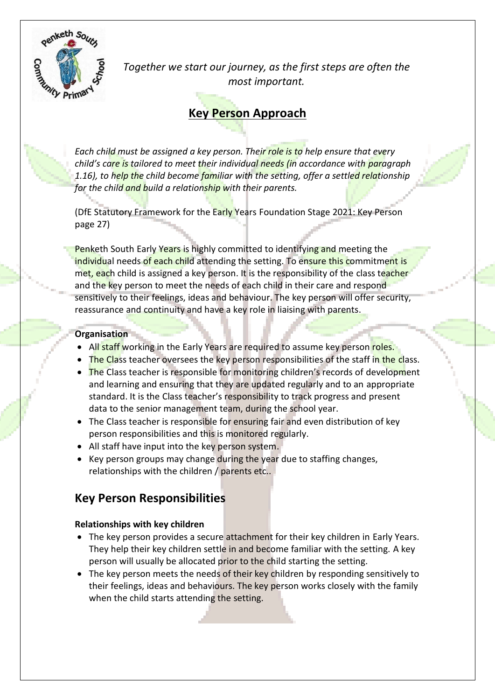

*Together we start our journey, as the first steps are often the most important.*

# **Key Person Approach**

*Each child must be assigned a key person. Their role is to help ensure that every*  child's care is tailored to meet their individual needs (in accordance with *paragraph 1.16), to help the child become familiar with the setting, offer a settled relationship for the child and build a relationship with their parents.*

(DfE Statutory Framework for the Early Years Foundation Stage 2021: Key Person page 27)

Penketh South Early Years is highly committed to identifying and meeting the individual needs of each child attending the setting. To ensure this commitment is met, each child is assigned a key person. It is the responsibility of the class teacher and the key person to meet the needs of each child in their care and respond sensitively to their feelings, ideas and behaviour. The key person will offer security, reassurance and continuity and have a key role in liaising with parents.

## **Organisation**

- All staff working in the Early Years are required to assume key person roles.
- The Class teacher oversees the key person responsibilities of the staff in the class.
- The Class teacher is responsible for monitoring children's records of development and learning and ensuring that they are updated regularly and to an appropriate standard. It is the Class teacher's responsibility to track progress and present data to the senior management team, during the school year.
- The Class teacher is responsible for ensuring fair and even distribution of key person responsibilities and this is monitored regularly.
- All staff have input into the key person system.
- Key person groups may change during the year due to staffing changes, relationships with the children / parents etc..

# **Key Person Responsibilities**

# **Relationships with key children**

- The key person provides a secure attachment for their key children in Early Years. They help their key children settle in and become familiar with the setting. A key person will usually be allocated prior to the child starting the setting.
- The key person meets the needs of their key children by responding sensitively to their feelings, ideas and behaviours. The key person works closely with the family when the child starts attending the setting.